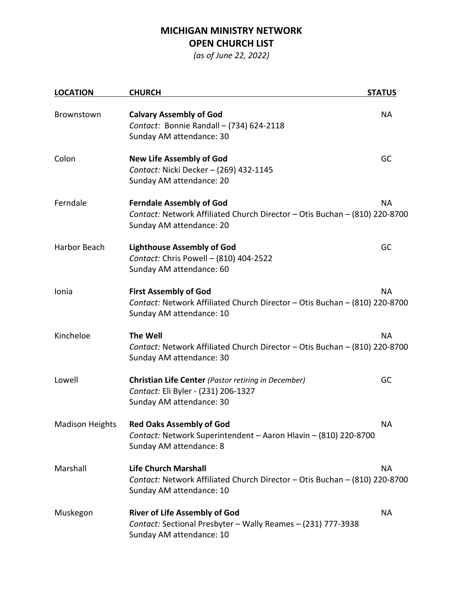## **MICHIGAN MINISTRY NETWORK OPEN CHURCH LIST**

*(as of June 22, 2022)*

| <b>LOCATION</b>        | <b>CHURCH</b>                                                                                                                                          | <b>STATUS</b> |
|------------------------|--------------------------------------------------------------------------------------------------------------------------------------------------------|---------------|
| Brownstown             | <b>Calvary Assembly of God</b><br>Contact: Bonnie Randall - (734) 624-2118<br>Sunday AM attendance: 30                                                 | <b>NA</b>     |
| Colon                  | <b>New Life Assembly of God</b><br>Contact: Nicki Decker - (269) 432-1145<br>Sunday AM attendance: 20                                                  | GC            |
| Ferndale               | <b>NA</b><br><b>Ferndale Assembly of God</b><br>Contact: Network Affiliated Church Director - Otis Buchan - (810) 220-8700<br>Sunday AM attendance: 20 |               |
| Harbor Beach           | <b>Lighthouse Assembly of God</b><br>Contact: Chris Powell - (810) 404-2522<br>Sunday AM attendance: 60                                                | GC            |
| Ionia                  | <b>First Assembly of God</b><br><b>NA</b><br>Contact: Network Affiliated Church Director - Otis Buchan - (810) 220-8700<br>Sunday AM attendance: 10    |               |
| Kincheloe              | <b>The Well</b><br>Contact: Network Affiliated Church Director - Otis Buchan - (810) 220-8700<br>Sunday AM attendance: 30                              | <b>NA</b>     |
| Lowell                 | Christian Life Center (Pastor retiring in December)<br>Contact: Eli Byler - (231) 206-1327<br>Sunday AM attendance: 30                                 | GC            |
| <b>Madison Heights</b> | <b>Red Oaks Assembly of God</b><br>Contact: Network Superintendent - Aaron Hlavin - (810) 220-8700<br>Sunday AM attendance: 8                          | <b>NA</b>     |
| Marshall               | <b>Life Church Marshall</b><br>Contact: Network Affiliated Church Director - Otis Buchan - (810) 220-8700<br>Sunday AM attendance: 10                  | <b>NA</b>     |
| Muskegon               | <b>River of Life Assembly of God</b><br>Contact: Sectional Presbyter - Wally Reames - (231) 777-3938<br>Sunday AM attendance: 10                       | <b>NA</b>     |